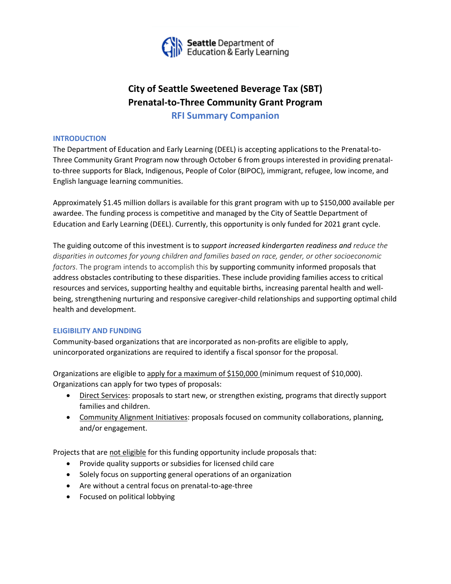

# **City of Seattle Sweetened Beverage Tax (SBT) Prenatal-to-Three Community Grant Program**

**RFI Summary Companion**

## **INTRODUCTION**

The Department of Education and Early Learning (DEEL) is accepting applications to the Prenatal-to-Three Community Grant Program now through October 6 from groups interested in providing prenatalto-three supports for Black, Indigenous, People of Color (BIPOC), immigrant, refugee, low income, and English language learning communities.

Approximately \$1.45 million dollars is available for this grant program with up to \$150,000 available per awardee. The funding process is competitive and managed by the City of Seattle Department of Education and Early Learning (DEEL). Currently, this opportunity is only funded for 2021 grant cycle.

The guiding outcome of this investment is to s*upport increased kindergarten readiness and reduce the disparities in outcomes for young children and families based on race, gender, or other socioeconomic factors*. The program intends to accomplish this by supporting community informed proposals that address obstacles contributing to these disparities. These include providing families access to critical resources and services, supporting healthy and equitable births, increasing parental health and wellbeing, strengthening nurturing and responsive caregiver-child relationships and supporting optimal child health and development.

## **ELIGIBILITY AND FUNDING**

Community-based organizations that are incorporated as non-profits are eligible to apply, unincorporated organizations are required to identify a fiscal sponsor for the proposal.

Organizations are eligible to apply for a maximum of \$150,000 (minimum request of \$10,000). Organizations can apply for two types of proposals:

- Direct Services: proposals to start new, or strengthen existing, programs that directly support families and children.
- Community Alignment Initiatives: proposals focused on community collaborations, planning, and/or engagement.

Projects that are not eligible for this funding opportunity include proposals that:

- Provide quality supports or subsidies for licensed child care
- Solely focus on supporting general operations of an organization
- Are without a central focus on prenatal-to-age-three
- Focused on political lobbying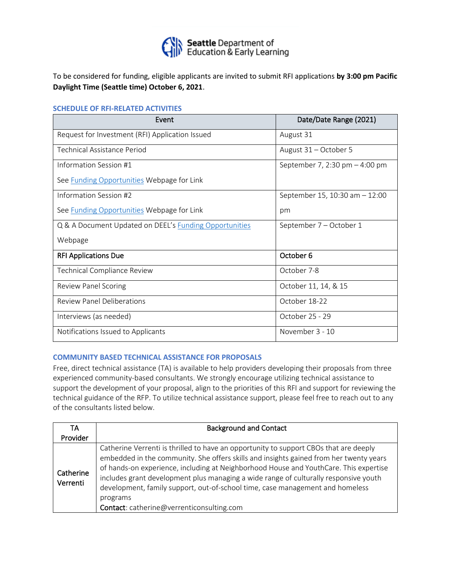

To be considered for funding, eligible applicants are invited to submit RFI applications **by 3:00 pm Pacific Daylight Time (Seattle time) October 6, 2021**.

#### **SCHEDULE OF RFI-RELATED ACTIVITIES**

| Event                                                  | Date/Date Range (2021)           |
|--------------------------------------------------------|----------------------------------|
| Request for Investment (RFI) Application Issued        | August 31                        |
| Technical Assistance Period                            | August 31 - October 5            |
| Information Session #1                                 | September 7, 2:30 pm $-$ 4:00 pm |
| See <b>Funding Opportunities</b> Webpage for Link      |                                  |
| Information Session #2                                 | September 15, 10:30 am $-12:00$  |
| See Funding Opportunities Webpage for Link             | pm                               |
| Q & A Document Updated on DEEL's Funding Opportunities | September 7 – October 1          |
| Webpage                                                |                                  |
| <b>RFI Applications Due</b>                            | October 6                        |
| <b>Technical Compliance Review</b>                     | October 7-8                      |
| <b>Review Panel Scoring</b>                            | October 11, 14, & 15             |
| <b>Review Panel Deliberations</b>                      | October 18-22                    |
| Interviews (as needed)                                 | October 25 - 29                  |
| Notifications Issued to Applicants                     | November 3 - 10                  |

### **COMMUNITY BASED TECHNICAL ASSISTANCE FOR PROPOSALS**

Free, direct technical assistance (TA) is available to help providers developing their proposals from three experienced community-based consultants. We strongly encourage utilizing technical assistance to support the development of your proposal, align to the priorities of this RFI and support for reviewing the technical guidance of the RFP. To utilize technical assistance support, please feel free to reach out to any of the consultants listed below.

| TA                    | <b>Background and Contact</b>                                                                                                                                                                                                                                                                                                                                                                                                                                                                              |
|-----------------------|------------------------------------------------------------------------------------------------------------------------------------------------------------------------------------------------------------------------------------------------------------------------------------------------------------------------------------------------------------------------------------------------------------------------------------------------------------------------------------------------------------|
| Provider              |                                                                                                                                                                                                                                                                                                                                                                                                                                                                                                            |
| Catherine<br>Verrenti | Catherine Verrenti is thrilled to have an opportunity to support CBOs that are deeply<br>embedded in the community. She offers skills and insights gained from her twenty years<br>of hands-on experience, including at Neighborhood House and YouthCare. This expertise<br>includes grant development plus managing a wide range of culturally responsive youth<br>development, family support, out-of-school time, case management and homeless<br>programs<br>Contact: catherine@verrenticonsulting.com |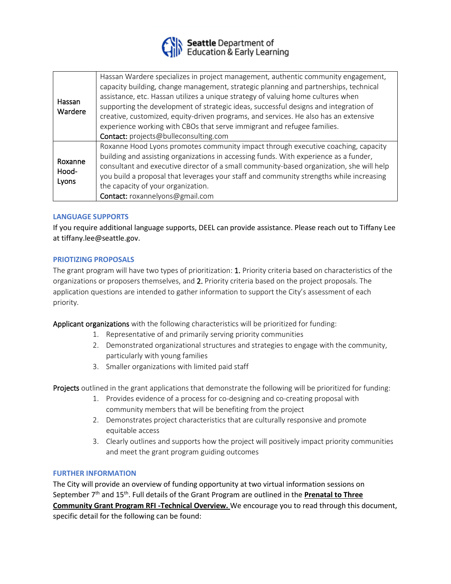

| Hassan<br>Wardere         | Hassan Wardere specializes in project management, authentic community engagement,<br>capacity building, change management, strategic planning and partnerships, technical<br>assistance, etc. Hassan utilizes a unique strategy of valuing home cultures when<br>supporting the development of strategic ideas, successful designs and integration of<br>creative, customized, equity-driven programs, and services. He also has an extensive<br>experience working with CBOs that serve immigrant and refugee families.<br>Contact: projects@bulleconsulting.com |
|---------------------------|-------------------------------------------------------------------------------------------------------------------------------------------------------------------------------------------------------------------------------------------------------------------------------------------------------------------------------------------------------------------------------------------------------------------------------------------------------------------------------------------------------------------------------------------------------------------|
| Roxanne<br>Hood-<br>Lyons | Roxanne Hood Lyons promotes community impact through executive coaching, capacity<br>building and assisting organizations in accessing funds. With experience as a funder,<br>consultant and executive director of a small community-based organization, she will help<br>you build a proposal that leverages your staff and community strengths while increasing<br>the capacity of your organization.<br>Contact: roxannelyons@gmail.com                                                                                                                        |

## **LANGUAGE SUPPORTS**

If you require additional language supports, DEEL can provide assistance. Please reach out to Tiffany Lee at tiffany.lee@seattle.gov.

## **PRIOTIZING PROPOSALS**

The grant program will have two types of prioritization: 1. Priority criteria based on characteristics of the organizations or proposers themselves, and 2. Priority criteria based on the project proposals. The application questions are intended to gather information to support the City's assessment of each priority.

Applicant organizations with the following characteristics will be prioritized for funding:

- 1. Representative of and primarily serving priority communities
- 2. Demonstrated organizational structures and strategies to engage with the community, particularly with young families
- 3. Smaller organizations with limited paid staff

Projects outlined in the grant applications that demonstrate the following will be prioritized for funding:

- 1. Provides evidence of a process for co-designing and co-creating proposal with community members that will be benefiting from the project
- 2. Demonstrates project characteristics that are culturally responsive and promote equitable access
- 3. Clearly outlines and supports how the project will positively impact priority communities and meet the grant program guiding outcomes

## **FURTHER INFORMATION**

The City will provide an overview of funding opportunity at two virtual information sessions on September 7<sup>th</sup> and 15<sup>th</sup>. Full details of the Grant Program are outlined in the **Prenatal to Three Community Grant Program RFI -Technical Overview.** We encourage you to read through this document, specific detail for the following can be found: